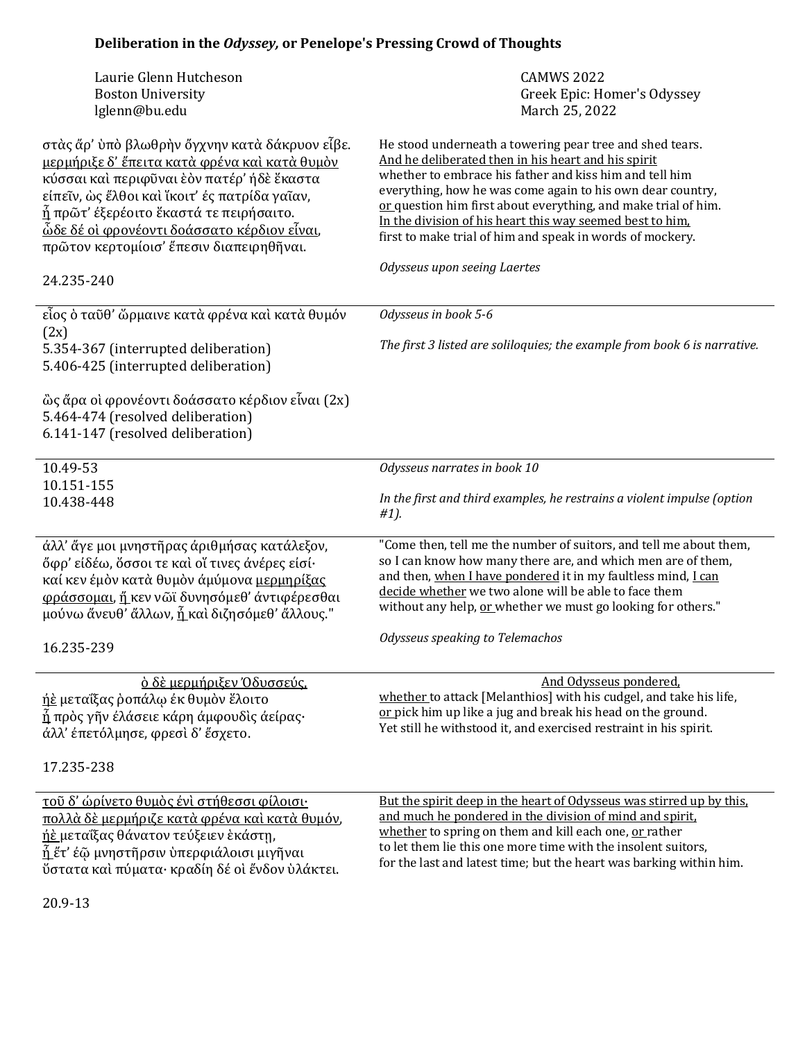## Deliberation in the *Odyssey*, or Penelope's Pressing Crowd of Thoughts

| Laurie Glenn Hutcheson<br><b>Boston University</b><br>lglenn@bu.edu                                                                                                                                                                                                                                                                                | <b>CAMWS 2022</b><br>Greek Epic: Homer's Odyssey<br>March 25, 2022                                                                                                                                                                                                                                                                                                                                                                   |
|----------------------------------------------------------------------------------------------------------------------------------------------------------------------------------------------------------------------------------------------------------------------------------------------------------------------------------------------------|--------------------------------------------------------------------------------------------------------------------------------------------------------------------------------------------------------------------------------------------------------------------------------------------------------------------------------------------------------------------------------------------------------------------------------------|
| στὰς ἄρ' ὑπὸ βλωθρὴν ὄγχνην κατὰ δάκρυον εἶβε.<br>μερμήριξε δ' έπειτα κατά φρένα και κατά θυμόν<br>κύσσαι καὶ περιφῦναι ἑὸν πατέρ' ήδὲ ἕκαστα<br>είπεῖν, ως ἔλθοι καὶ ἴκοιτ' ές πατρίδα γαῖαν,<br><u>ἦ</u> πρῶτ' έξερέοιτο ἕκαστά τε πειρήσαιτο.<br><u>ὦδε δέ οὶ φρονέοντι δοάσσατο κέρδιον εἶναι,</u><br>πρῶτον κερτομίοισ' έπεσιν διαπειρηθηναι. | He stood underneath a towering pear tree and shed tears.<br>And he deliberated then in his heart and his spirit<br>whether to embrace his father and kiss him and tell him<br>everything, how he was come again to his own dear country,<br>or question him first about everything, and make trial of him.<br>In the division of his heart this way seemed best to him.<br>first to make trial of him and speak in words of mockery. |
| 24.235-240                                                                                                                                                                                                                                                                                                                                         | Odysseus upon seeing Laertes                                                                                                                                                                                                                                                                                                                                                                                                         |
| εἶος ὁ ταῦθ' ὤρμαινε κατὰ φρένα καὶ κατὰ θυμόν<br>(2x)                                                                                                                                                                                                                                                                                             | Odysseus in book 5-6                                                                                                                                                                                                                                                                                                                                                                                                                 |
| 5.354-367 (interrupted deliberation)<br>5.406-425 (interrupted deliberation)                                                                                                                                                                                                                                                                       | The first 3 listed are soliloquies; the example from book 6 is narrative.                                                                                                                                                                                                                                                                                                                                                            |
| ὣς ἄρα οὶ φρονέοντι δοάσσατο κέρδιον εἶναι (2x)<br>5.464-474 (resolved deliberation)<br>6.141-147 (resolved deliberation)                                                                                                                                                                                                                          |                                                                                                                                                                                                                                                                                                                                                                                                                                      |
| 10.49-53<br>10.151-155                                                                                                                                                                                                                                                                                                                             | Odysseus narrates in book 10                                                                                                                                                                                                                                                                                                                                                                                                         |
| 10.438-448                                                                                                                                                                                                                                                                                                                                         | In the first and third examples, he restrains a violent impulse (option<br>#1).                                                                                                                                                                                                                                                                                                                                                      |
| άλλ' ἄγε μοι μνηστῆρας άριθμήσας κατάλεξον,<br>őφρ' είδέω, ὄσσοι τε καὶ οἴ τινες άνέρες είσί·<br>καί κεν έμον κατά θυμον άμύμονα μερμηρίξας<br>φράσσομαι, ή κεν νῶϊ δυνησόμεθ' άντιφέρεσθαι<br>μούνω ἄνευθ' ἄλλων, <u>ἦ</u> καὶ διζησόμεθ' ἄλλους."                                                                                                | "Come then, tell me the number of suitors, and tell me about them,<br>so I can know how many there are, and which men are of them,<br>and then, when I have pondered it in my faultless mind, I can<br>decide whether we two alone will be able to face them<br>without any help, or whether we must go looking for others."                                                                                                         |
| 16.235-239                                                                                                                                                                                                                                                                                                                                         | Odysseus speaking to Telemachos                                                                                                                                                                                                                                                                                                                                                                                                      |
| <u>δ δε μερμήριξεν Όδυσσεύς.</u><br><u>ήὲ</u> μεταΐξας ροπάλω έκ θυμον ἕλοιτο<br>ή πρὸς γῆν έλάσειε κάρη άμφουδὶς άείρας·<br>άλλ' έπετόλμησε, φρεσί δ' έσχετο.<br>17.235-238                                                                                                                                                                       | And Odysseus pondered,<br>whether to attack [Melanthios] with his cudgel, and take his life,<br>or pick him up like a jug and break his head on the ground.<br>Yet still he withstood it, and exercised restraint in his spirit.                                                                                                                                                                                                     |
| τοῦ δ' ώρίνετο θυμὸς ένὶ στήθεσσι φίλοισι·<br>πολλά δέ μερμήριζε κατά φρένα και κατά θυμόν,<br>ή εμεταΐξας θάνατον τεύξειεν εκάστη,<br><u>ἦ </u> ἕτ' έῷ μνηστῆρσιν ὑπερφιάλοισι μιγῆναι<br><u>ύστατα και πύματα· κραδίη δέ οι ένδον υλάκτει.</u>                                                                                                   | But the spirit deep in the heart of Odysseus was stirred up by this.<br>and much he pondered in the division of mind and spirit.<br>whether to spring on them and kill each one, or rather<br>to let them lie this one more time with the insolent suitors,<br>for the last and latest time; but the heart was barking within him.                                                                                                   |

20.9-13